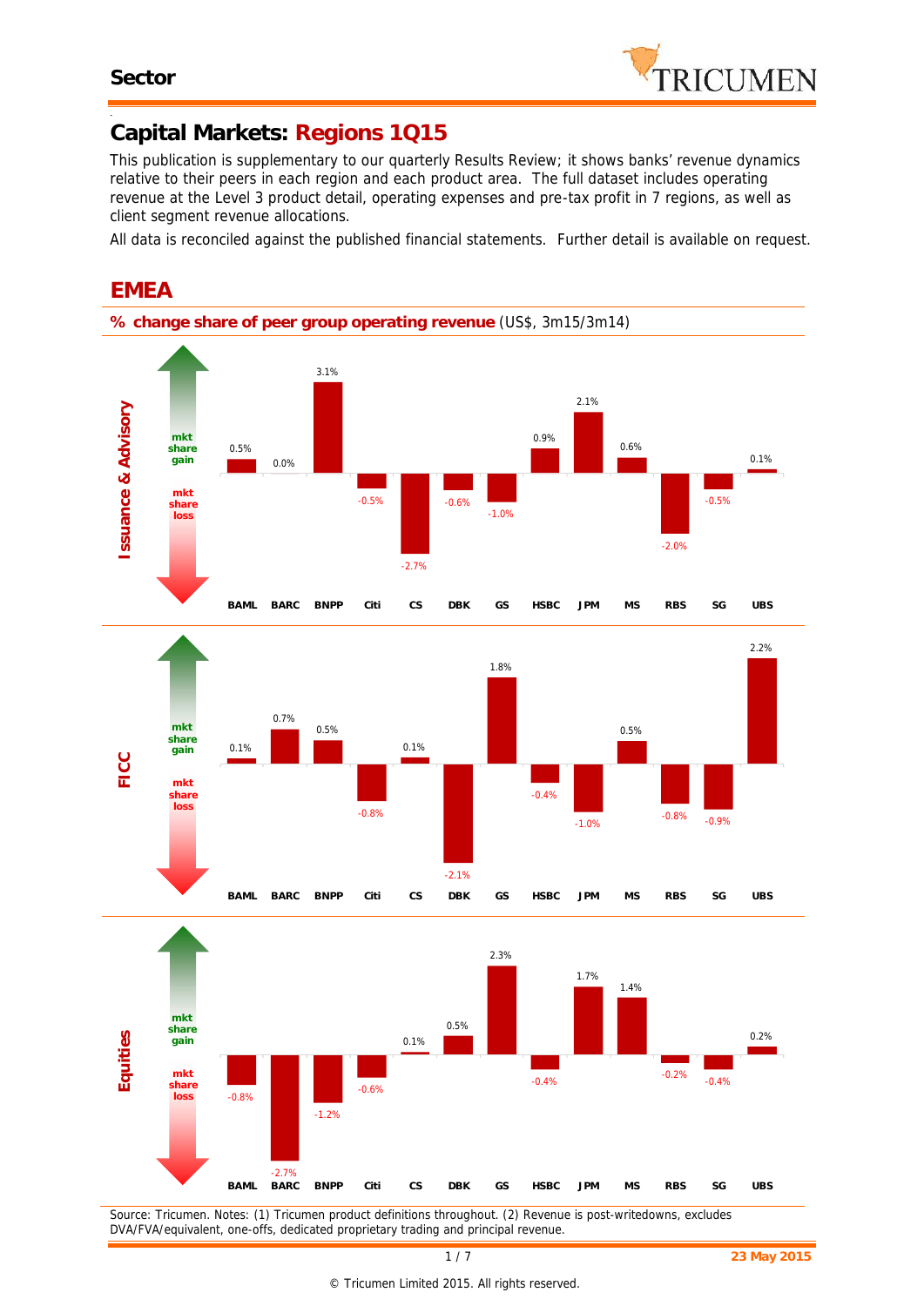-



### **Capital Markets: Regions 1Q15**

*This publication is supplementary to our quarterly Results Review; it shows banks' revenue dynamics relative to their peers in each region and each product area. The full dataset includes operating revenue at the Level 3 product detail, operating expenses and pre-tax profit in 7 regions, as well as client segment revenue allocations.*

*All data is reconciled against the published financial statements. Further detail is available on request.*



## **EMEA**

*DVA/FVA/equivalent, one-offs, dedicated proprietary trading and principal revenue.*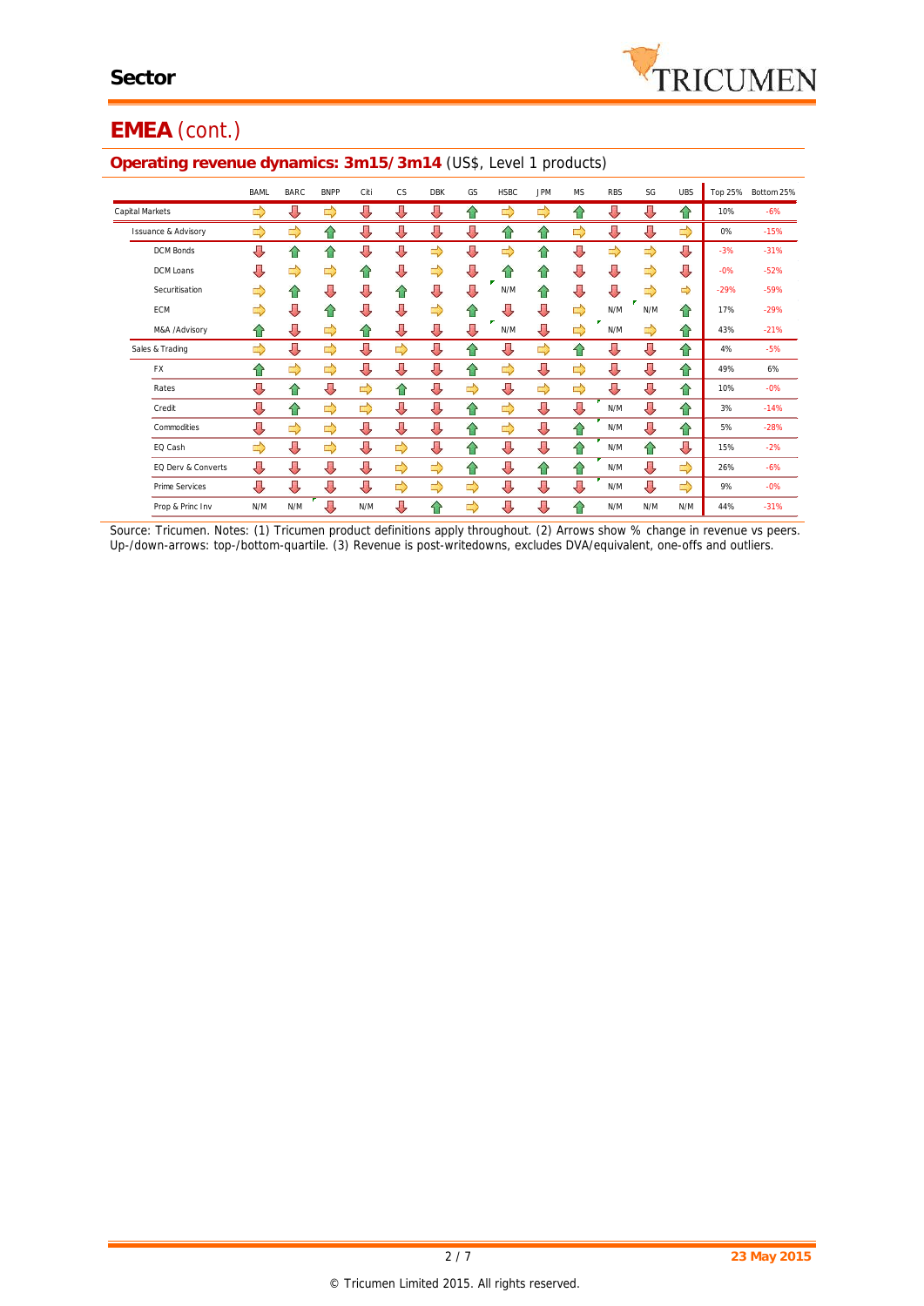

# **EMEA** (cont.)

|                                | <b>BAML</b> | <b>BARC</b>   | <b>BNPP</b> | Citi | <b>CS</b> | <b>DBK</b>    | GS            | <b>HSBC</b> | <b>JPM</b> | <b>MS</b> | <b>RBS</b> | SG            | <b>UBS</b> |        | Top 25% Bottom 25% |
|--------------------------------|-------------|---------------|-------------|------|-----------|---------------|---------------|-------------|------------|-----------|------------|---------------|------------|--------|--------------------|
| Capital Markets                | ⇨           | ⇩             | ⇨           | ⇩    | ⇩         | ⇩             | ⇑             | ⇨           | ⇨          | ⇧         | ⇩          | ⇩             | ⇧          | 10%    | $-6%$              |
| <b>Issuance &amp; Advisory</b> | ⇨           | ⇨             | ⇑           | ⇩    | ⇩         | ⇩             | Д             | ⇑           | ⇑          | ⇨         | ⇩          | ⇩             | ⇨          | 0%     | $-15%$             |
| <b>DCM Bonds</b>               | ⇩           | ⇧             | ⇧           | ⇩    | ⇩         | ⇨             | ⇩             | ⇨           | ⇧          | ⇩         | ⇨          | ⇨             | ⇩          | $-3%$  | $-31%$             |
| DCM Loans                      | ⇩           | ⇨             | ⇨           | ⇑    | ⇩         | ⇨             | ⇩             | ⇑           | ⇑          | ⇩         | ⇩          | $\Rightarrow$ | ⇩          | $-0%$  | $-52%$             |
| Securitisation                 | ⇨           | ⇧             | ⇩           | ⇩    | ⇑         | ⇩             | ⇩             | N/M         | 合          | ⇩         | ⇩          | ⇨             | ⇨          | $-29%$ | $-59%$             |
| ECM                            | ⇨           | ⇩             | ⇑           | ⇩    | ⇩         | ⇨             | ⇑             | ┺           | ⇩          | ⇨         | N/M        | N/M           | 合          | 17%    | $-29%$             |
| M&A /Advisory                  | ⇧           | ⇩             | ⇨           | ⇑    | ⇩         | ⇩             | ⇩             | N/M         | ⇩          | ⇨         | N/M        | ⇨             | ⇧          | 43%    | $-21%$             |
| Sales & Trading                | ⇨           | ⇩             | ⇨           | ⇩    | ⇨         | ⇩             | 슈             | ⇩           | ⇨          | ⇧         | ⇩          | ⇩             | ⇧          | 4%     | $-5%$              |
| <b>FX</b>                      | ⇑           | $\Rightarrow$ | ⇨           | ⇩    | ⇩         | ⇩             | ⇑             | ⇨           | ⇩          | ⇨         | ⇩          | ⇩             | ⇧          | 49%    | 6%                 |
| Rates                          | ⇩           | ⇧             | ⇩           | ⇨    | ⇧         | ⇩             | ⇨             | ⇩           | ⇨          | ⇨         | ⇩          | ⇩             | ⇧          | 10%    | $-0%$              |
| Credit                         | ⇩           | ⇧             | ⇨           | ⇨    | ⇩         | ⇩             | ⇧             | ⇨           | ⇩          | ⇩         | N/M        | ⇩             | ⇧          | 3%     | $-14%$             |
| Commodities                    | ⇩           | ⇨             | ⇨           | ⇩    | ⇩         | ⇩             | ⇧             | ⇨           | ⇩          | ⇧         | N/M        | ⇩             | ⇧          | 5%     | $-28%$             |
| EQ Cash                        | ⇨           | ⇩             | ⇨           | ⇩    | ⇨         | ⇩             | ⇑             | ⇩           | ⇩          | ⇧         | N/M        | ⇧             | ⇩          | 15%    | $-2%$              |
| EQ Derv & Converts             | ⇩           | ⇩             | ⇩           | ⇩    | ⇨         | $\Rightarrow$ | 仐             | ⇩           | ⇧          | ⇧         | N/M        | ⇩             | ⇨          | 26%    | $-6%$              |
| <b>Prime Services</b>          | ⇩           | ⇩             | ⇩           | ⇩    | ⇨         | ⇨             | $\Rightarrow$ | ⇩           | ⇩          | ⇩         | N/M        | ⇩             | ⇨          | 9%     | $-0%$              |
| Prop & Princ Inv               | N/M         | N/M           | ⇩           | N/M  | ⇩         | 슙             | ⇨             | ⇩           | ⇩          | ⇧         | N/M        | N/M           | N/M        | 44%    | $-31%$             |

#### **Operating revenue dynamics: 3m15/3m14** (US\$, Level 1 products)

*Source: Tricumen. Notes: (1) Tricumen product definitions apply throughout. (2) Arrows show % change in revenue vs peers. Up-/down-arrows: top-/bottom-quartile. (3) Revenue is post-writedowns, excludes DVA/equivalent, one-offs and outliers.*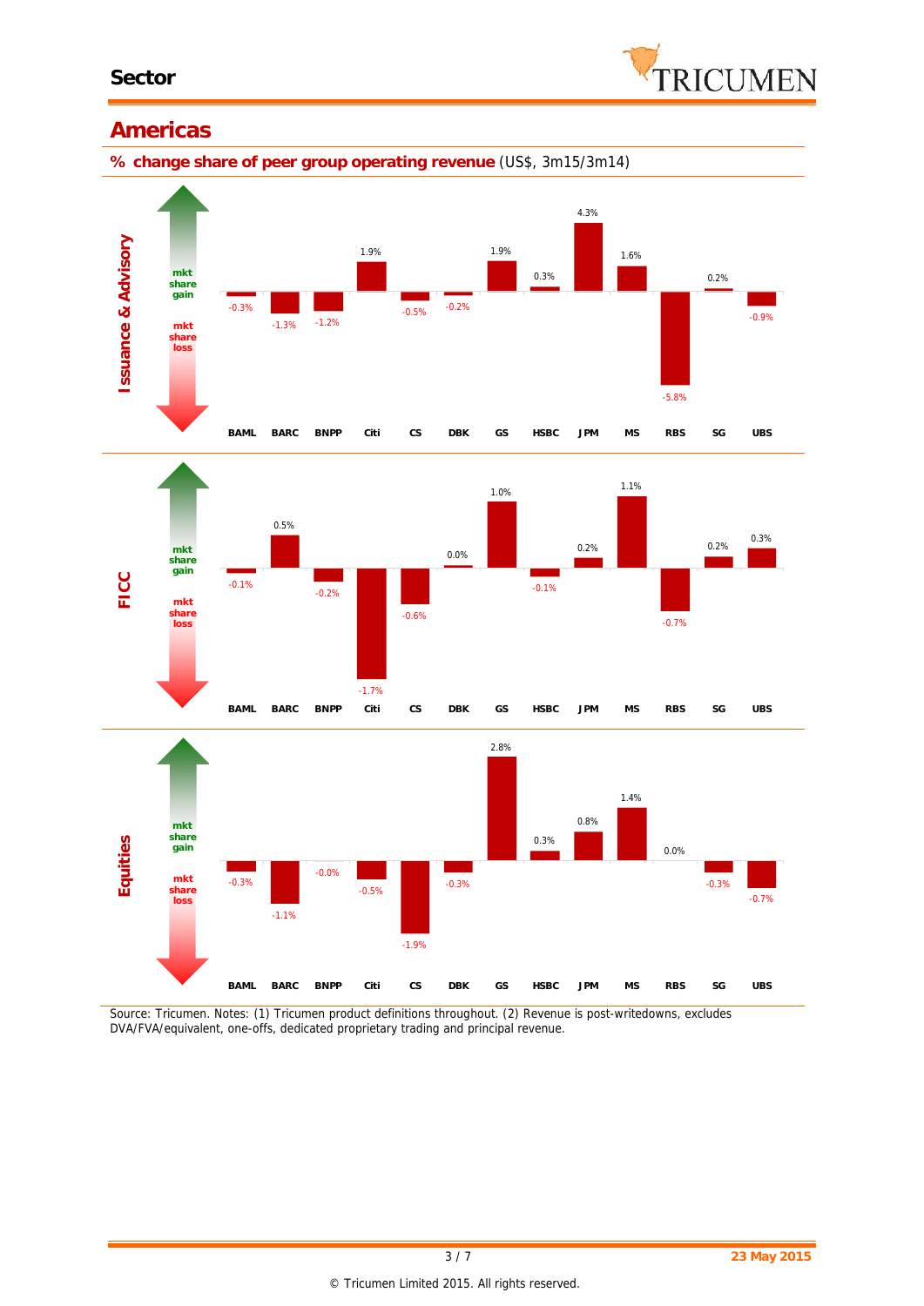

### **Americas**

**% change share of peer group operating revenue** (US\$, 3m15/3m14)







*Source: Tricumen. Notes: (1) Tricumen product definitions throughout. (2) Revenue is post-writedowns, excludes DVA/FVA/equivalent, one-offs, dedicated proprietary trading and principal revenue.*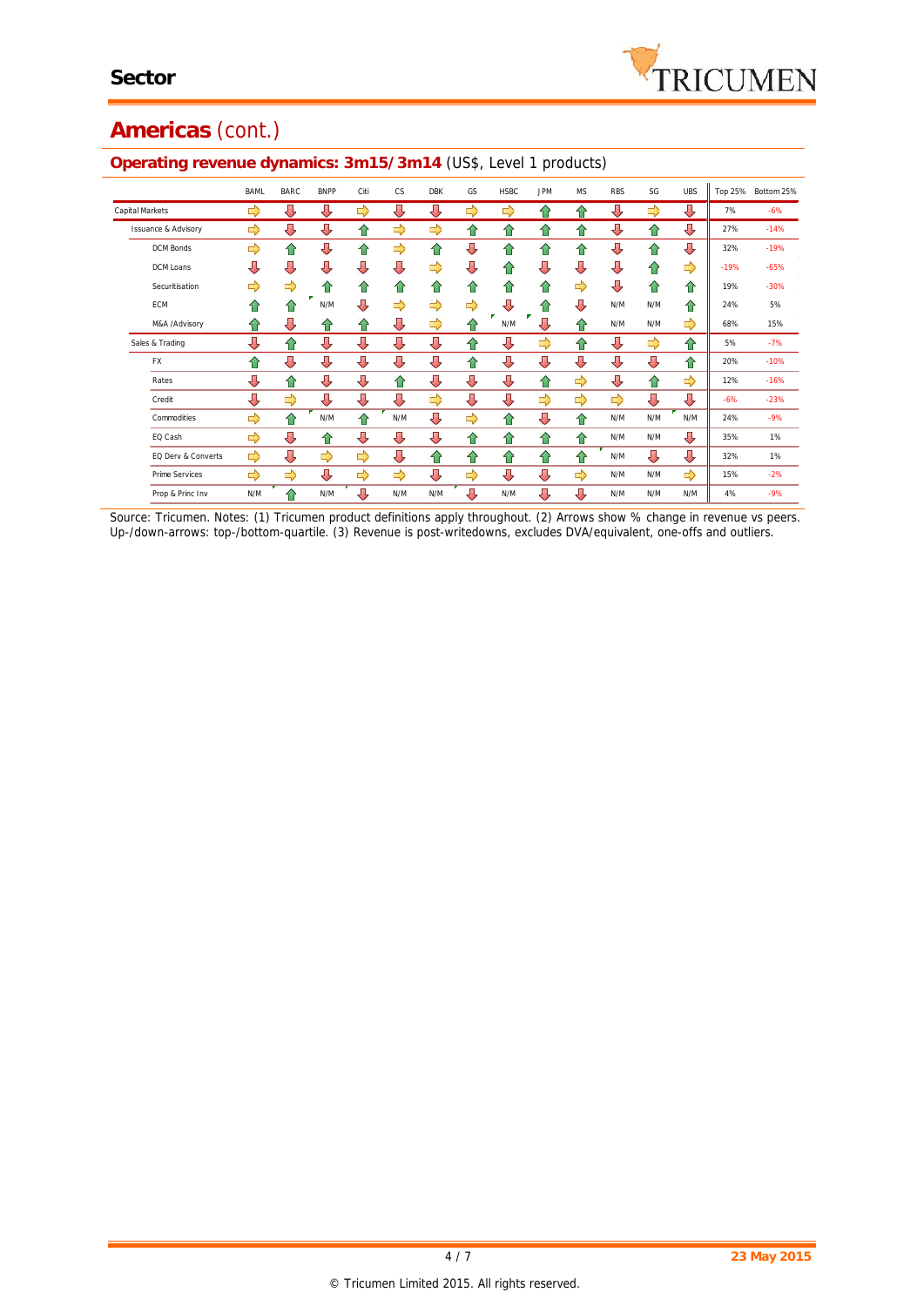# **Americas** (cont.)

| ັ                              |             | ັ           |             |      |     |            |    |             |            |           |            |     |            |         |            |
|--------------------------------|-------------|-------------|-------------|------|-----|------------|----|-------------|------------|-----------|------------|-----|------------|---------|------------|
|                                | <b>BAML</b> | <b>BARC</b> | <b>BNPP</b> | Citi | CS. | <b>DBK</b> | GS | <b>HSBC</b> | <b>JPM</b> | <b>MS</b> | <b>RBS</b> | SG  | <b>UBS</b> | Top 25% | Bottom 25% |
| Capital Markets                | ⇨           | ⊕           | ⇩           | ⇨    | ⇩   | ⇩          | ⇨  | ⇨           | ⇑          | 슈         | ⇩          | ⇨   | ⇩          | 7%      | $-6%$      |
| <b>Issuance &amp; Advisory</b> | ⇨           | ⊕           | ⇩           | ⇧    | ⇨   | ⇨          | 合  | 合           | ⇧          | 合         | ⇩          | ⇧   | ⇩          | 27%     | $-14%$     |
| <b>DCM Bonds</b>               | ⇨           | ⇧           | ⇩           | ⇑    | ⇨   | 슈          | ⊕  | 슈           | ⇑          | ⇑         | ⇩          | 슈   | ⇩          | 32%     | $-19%$     |
| DCM Loans                      | ⇩           | ⇩           | ⇩           | ⇩    | ⇩   | ⇨          | ⇩  | 合           | ⇩          | ⇩         | ⇩          | ⇧   | ⇨          | $-19%$  | $-65%$     |
| Securitisation                 | ⇨           | ⇨           | ⇑           | ⇑    | ⇑   | ⇑          | ⇑  | 슈           | ⇑          | ⇨         | ⇩          | ⇧   | ⇧          | 19%     | $-30%$     |
| <b>ECM</b>                     | ⇑           | ⇑           | N/M         | ⇩    | ⇨   | ⇨          | ⇨  | ⇩           | ⇑          | ⇩         | N/M        | N/M | 合          | 24%     | 5%         |
| M&A /Advisory                  | ⇑           | ⊕           | ⇑           | ⇑    | ⊕   | ⇨          | ⇑  | N/M         | ⇩          | 슈         | N/M        | N/M | ⇨          | 68%     | 15%        |
| Sales & Trading                | ⊕           | 仐           | ⇩           | ⇩    | ⇩   | ⇩          | ⇑  | ⇩           | ⇨          | 合         | ⇩          | ⇨   | 合          | 5%      | $-7%$      |
| <b>FX</b>                      | 습           | ⇩           | ⇩           | ⇩    | ⇩   | ⇩          | ⇧  | ⇩           | ⇩          | ⇩         | ⇩          | ⇩   | ⇧          | 20%     | $-10%$     |
| Rates                          | ⊕           | ⇑           | ⇩           | ⊕    | 슈   | ⇩          | ⊕  | ⇩           | ⇧          | ⇨         | ⇩          | 仐   | ⇨          | 12%     | $-16%$     |
| Credit                         | ⊕           | ⇨           | ⇩           | ⇩    | ⇩   | ⇨          | ⇩  | ⇩           | ⇨          | ⇨         | ⇨          | ⇩   | ⇩          | $-6%$   | $-23%$     |
| Commodities                    | ⇨           | ⇑           | N/M         | ⇑    | N/M | ⇩          | ⇨  | ⇑           | ⊕          | 合         | N/M        | N/M | N/M        | 24%     | $-9%$      |
| EQ Cash                        | ⇨           | ⊕           | ⇑           | ⊕    | ⇩   | ⇩          | 合  | 合           | ⇑          | 合         | N/M        | N/M | ⇩          | 35%     | 1%         |
| EQ Derv & Converts             | ⇨           | ⊕           | ⇨           | ⇨    | ⇩   | 仐          | ⇑  | 合           | ⇧          | ⇑         | N/M        | ⇩   | ⇩          | 32%     | 1%         |
| Prime Services                 | ⇨           | ⇨           | ⇩           | ⇨    | ⇨   | ⇩          | ⇨  | ⇩           | ⇩          | ⇨         | N/M        | N/M | ⇨          | 15%     | $-2%$      |
| Prop & Princ Inv               | N/M         | ⇑           | N/M         | Д    | N/M | N/M        | Д  | N/M         | ⇩          | ⇩         | N/M        | N/M | N/M        | 4%      | $-9%$      |

#### **Operating revenue dynamics: 3m15/3m14** (US\$, Level 1 products)

*Source: Tricumen. Notes: (1) Tricumen product definitions apply throughout. (2) Arrows show % change in revenue vs peers. Up-/down-arrows: top-/bottom-quartile. (3) Revenue is post-writedowns, excludes DVA/equivalent, one-offs and outliers.*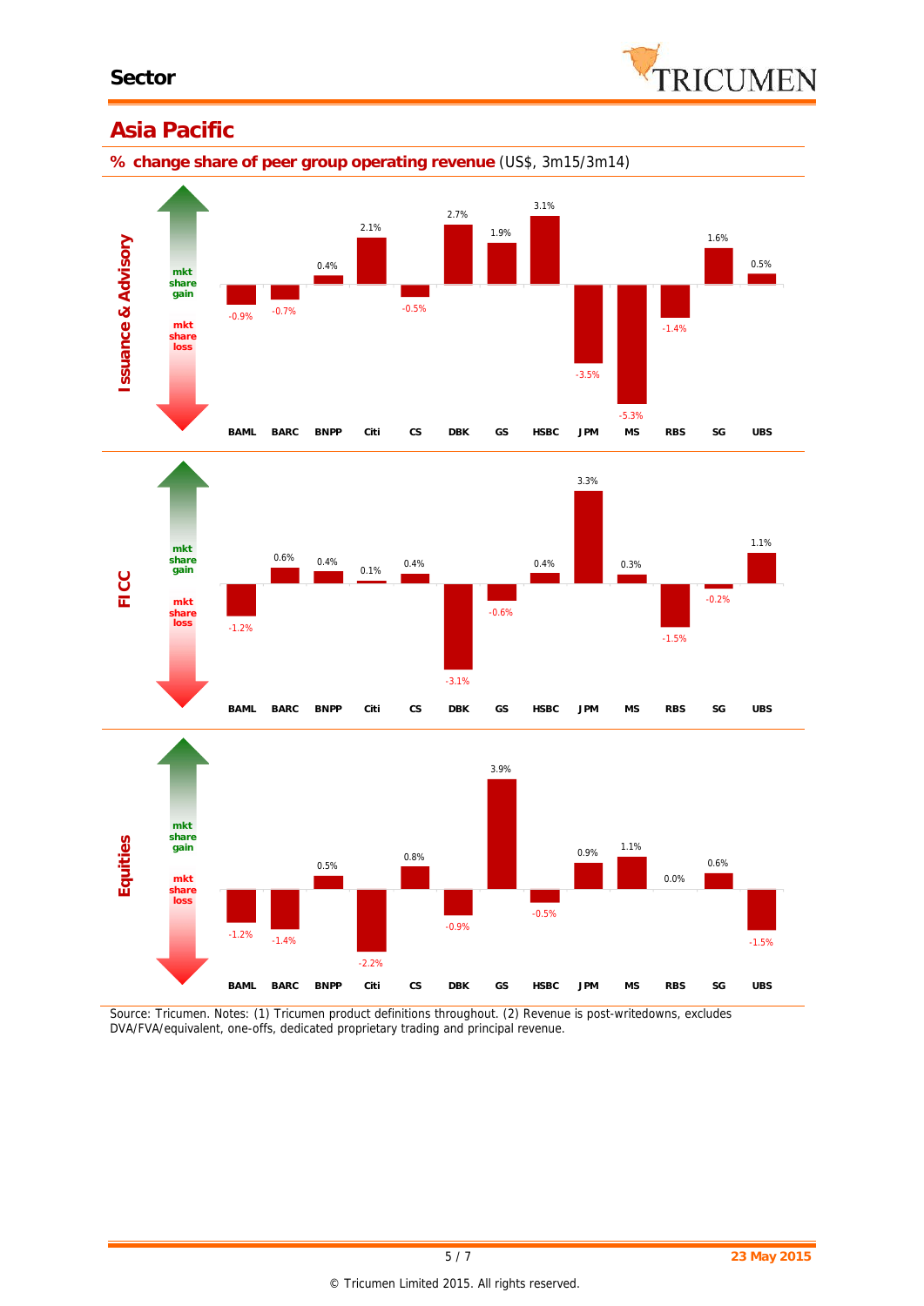

### **Asia Pacific**

**% change share of peer group operating revenue** (US\$, 3m15/3m14)







*Source: Tricumen. Notes: (1) Tricumen product definitions throughout. (2) Revenue is post-writedowns, excludes DVA/FVA/equivalent, one-offs, dedicated proprietary trading and principal revenue.*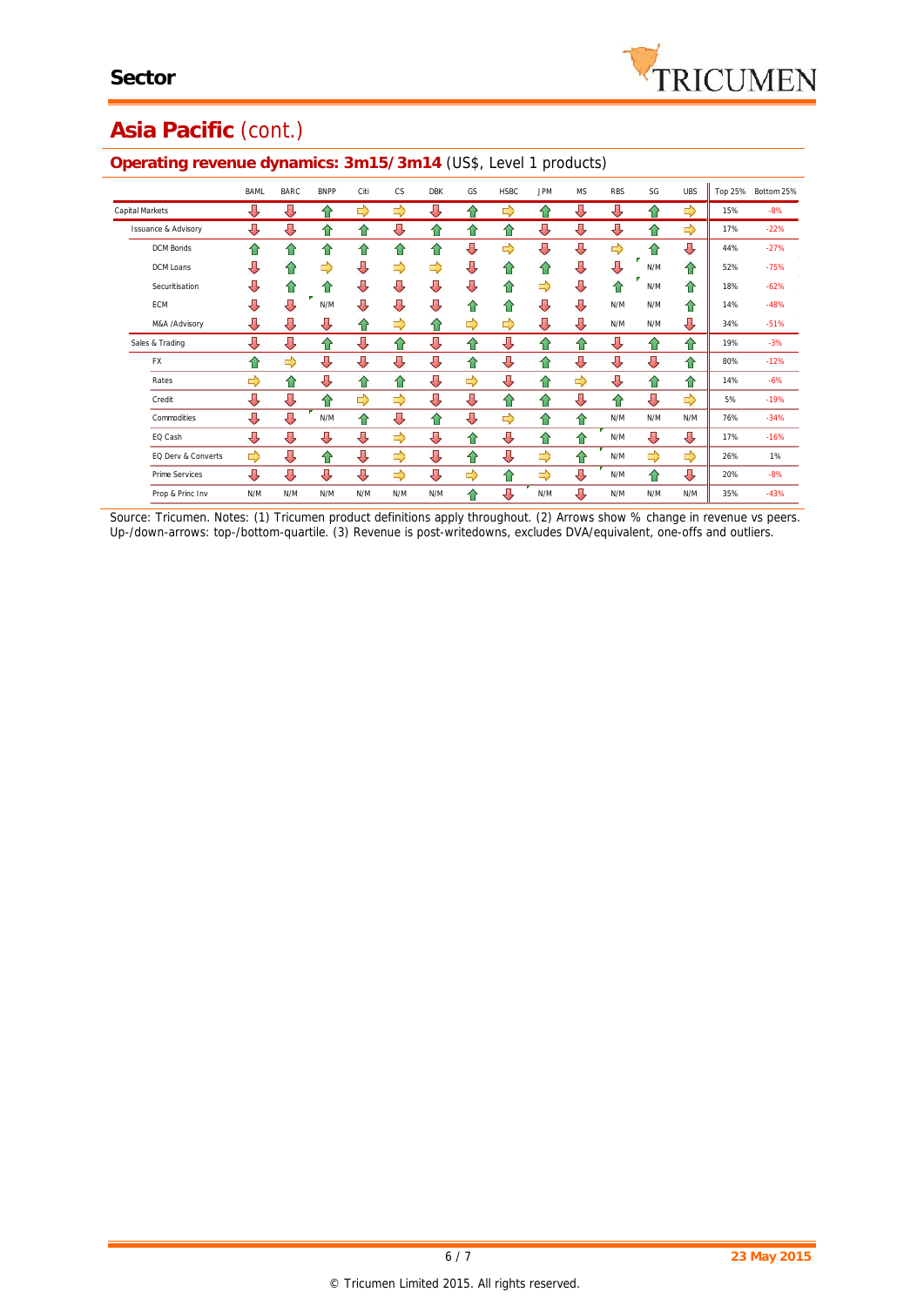# **Asia Pacific** (cont.)

|                                | <b>BAML</b> | <b>BARC</b> | <b>BNPP</b> | Citi          | CS.           | <b>DBK</b> | GS. | <b>HSBC</b> | <b>JPM</b> | <b>MS</b> | <b>RBS</b> | SG  | <b>UBS</b> | Top 25% | Bottom 25% |
|--------------------------------|-------------|-------------|-------------|---------------|---------------|------------|-----|-------------|------------|-----------|------------|-----|------------|---------|------------|
| Capital Markets                | ⇩           | ⊕           | ⇑           | ⇨             | ⇨             | ⊕          | ⇑   | ⇨           | ⇑          | ⊕         | ⇩          | ⇧   | ⇨          | 15%     | $-8%$      |
| <b>Issuance &amp; Advisory</b> | ⊕           | ⊕           | 仐           | 仐             | ⇩             | ♦          | ⇑   | 슈           | ⇩          | ⇩         | ⇩          | ⇧   | ⇨          | 17%     | $-22%$     |
| <b>DCM Bonds</b>               | ⇑           | 슈           | ⇑           | ⇑             | 슈             | ⇑          | ⊕   | ⇨           | ⊕          | ⇩         | ⇨          | 슈   | ⇩          | 44%     | $-27%$     |
| DCM Loans                      | ⇩           | ⇑           | ⇨           | ⇩             | ⇨             | ⇨          | ⊕   | 合           | ⇑          | ⇩         | ⇩          | N/M | 슈          | 52%     | $-75%$     |
| Securitisation                 | ⊕           | ⇧           | ⇑           | ⇩             | ⇩             | ⇩          | ⊕   | 合           | ⇨          | ⇩         | 仐          | N/M | 合          | 18%     | $-62%$     |
| <b>ECM</b>                     | ⊕           | JЬ          | N/M         | Д             | ⇩             | ⇩          | ⇑   | 슈           | ⇩          | ⇩         | N/M        | N/M | 合          | 14%     | $-48%$     |
| M&A /Advisory                  | ⊕           | ⊕           | ⊕           | ⇑             | ⇨             | ⇑          | ⇨   | ⇨           | ⊕          | ⇩         | N/M        | N/M | ⇩          | 34%     | $-51%$     |
| Sales & Trading                | ⊕           | Д           | ⇑           | ⊕             | 슈             | ⇩          | 仐   | ⇩           | 仐          | 슈         | ⇩          | 仐   | 合          | 19%     | $-3%$      |
| <b>FX</b>                      | ⇑           | ⇨           | ⇩           | ⊕             | ⇩             | ⇩          | ⇑   | ⇩           | ⇧          | ⇩         | ⇩          | ⇩   | ⇧          | 80%     | $-12%$     |
| Rates                          | ⇨           | 슈           | ⇩           | 仐             | ⇑             | ⇩          | ⇨   | ⇩           | ⇧          | ⇨         | ⇩          | 合   | ⇧          | 14%     | $-6%$      |
| Credit                         | ⊕           | ⊕           | ⇑           | $\Rightarrow$ | $\Rightarrow$ | ⇩          | ⊕   | 合           | 仐          | ⇩         | 仐          | ⇩   | ⇨          | 5%      | $-19%$     |
| Commodities                    | Д           | Д           | N/M         | ⇑             | ⇩             | ⇑          | ⊕   | ⇨           | ⇑          | ⇧         | N/M        | N/M | N/M        | 76%     | $-34%$     |
| EQ Cash                        | ⊕           | ⊕           | ⇩           | ⊕             | ⇨             | ⇩          | ⇑   | ⇩           | ⇧          | 슈         | N/M        | ⇩   | ⇩          | 17%     | $-16%$     |
| EQ Derv & Converts             | ⇨           | ⊕           | ⇑           | ⊕             | ⇨             | ⇩          | 合   | ⇩           | ⇨          | ⇧         | N/M        | ⇨   | ⇨          | 26%     | 1%         |
| Prime Services                 | ⊕           | ⊕           | ⇩           | ⊕             | ⇨             | ⇩          | ⇨   | 合           | ⇨          | ⇩         | N/M        | 合   | ⊕          | 20%     | $-8%$      |
| Prop & Princ Inv               | N/M         | N/M         | N/M         | N/M           | N/M           | N/M        | ⇑   | Д           | N/M        | J,        | N/M        | N/M | N/M        | 35%     | $-43%$     |

## **Operating revenue dynamics: 3m15/3m14** (US\$, Level 1 products)

*Source: Tricumen. Notes: (1) Tricumen product definitions apply throughout. (2) Arrows show % change in revenue vs peers. Up-/down-arrows: top-/bottom-quartile. (3) Revenue is post-writedowns, excludes DVA/equivalent, one-offs and outliers.*